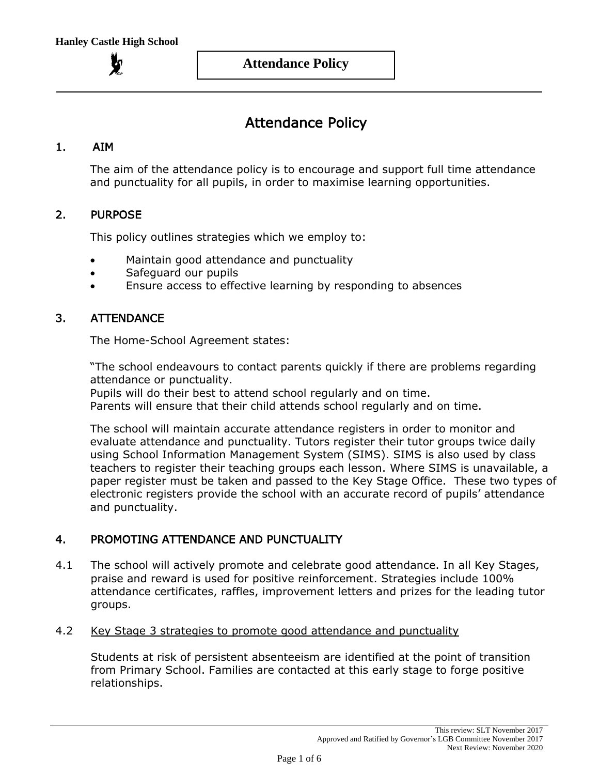# Attendance Policy

# 1. AIM

The aim of the attendance policy is to encourage and support full time attendance and punctuality for all pupils, in order to maximise learning opportunities.

## 2. PURPOSE

This policy outlines strategies which we employ to:

- Maintain good attendance and punctuality
- Safeguard our pupils
- Ensure access to effective learning by responding to absences

# 3. ATTENDANCE

The Home-School Agreement states:

"The school endeavours to contact parents quickly if there are problems regarding attendance or punctuality.

Pupils will do their best to attend school regularly and on time. Parents will ensure that their child attends school regularly and on time.

The school will maintain accurate attendance registers in order to monitor and evaluate attendance and punctuality. Tutors register their tutor groups twice daily using School Information Management System (SIMS). SIMS is also used by class teachers to register their teaching groups each lesson. Where SIMS is unavailable, a paper register must be taken and passed to the Key Stage Office. These two types of electronic registers provide the school with an accurate record of pupils' attendance and punctuality.

# 4. PROMOTING ATTENDANCE AND PUNCTUALITY

4.1 The school will actively promote and celebrate good attendance. In all Key Stages, praise and reward is used for positive reinforcement. Strategies include 100% attendance certificates, raffles, improvement letters and prizes for the leading tutor groups.

## 4.2 Key Stage 3 strategies to promote good attendance and punctuality

Students at risk of persistent absenteeism are identified at the point of transition from Primary School. Families are contacted at this early stage to forge positive relationships.

Next Review: November 2020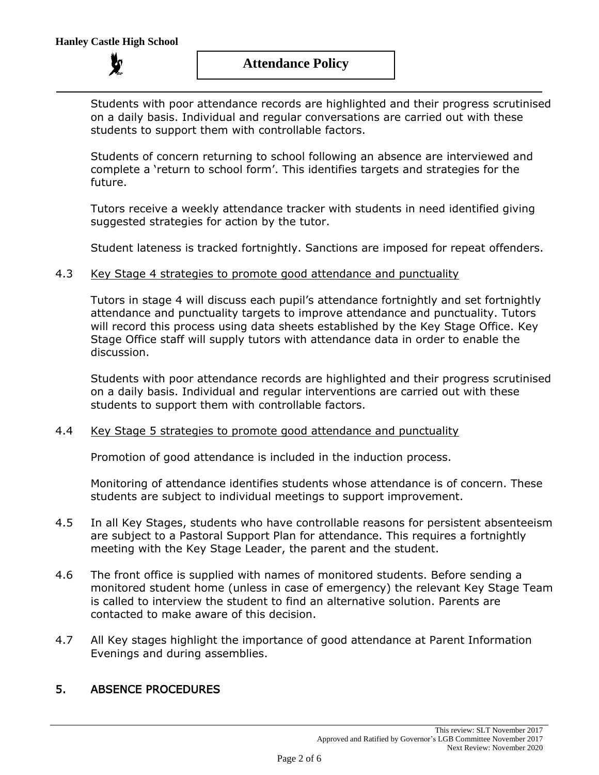**Attendance Policy**

Students with poor attendance records are highlighted and their progress scrutinised on a daily basis. Individual and regular conversations are carried out with these students to support them with controllable factors.

Students of concern returning to school following an absence are interviewed and complete a 'return to school form'. This identifies targets and strategies for the future.

Tutors receive a weekly attendance tracker with students in need identified giving suggested strategies for action by the tutor.

Student lateness is tracked fortnightly. Sanctions are imposed for repeat offenders.

## 4.3 Key Stage 4 strategies to promote good attendance and punctuality

Tutors in stage 4 will discuss each pupil's attendance fortnightly and set fortnightly attendance and punctuality targets to improve attendance and punctuality. Tutors will record this process using data sheets established by the Key Stage Office. Key Stage Office staff will supply tutors with attendance data in order to enable the discussion.

Students with poor attendance records are highlighted and their progress scrutinised on a daily basis. Individual and regular interventions are carried out with these students to support them with controllable factors.

## 4.4 Key Stage 5 strategies to promote good attendance and punctuality

Promotion of good attendance is included in the induction process.

Monitoring of attendance identifies students whose attendance is of concern. These students are subject to individual meetings to support improvement.

- 4.5 In all Key Stages, students who have controllable reasons for persistent absenteeism are subject to a Pastoral Support Plan for attendance. This requires a fortnightly meeting with the Key Stage Leader, the parent and the student.
- 4.6 The front office is supplied with names of monitored students. Before sending a monitored student home (unless in case of emergency) the relevant Key Stage Team is called to interview the student to find an alternative solution. Parents are contacted to make aware of this decision.
- 4.7 All Key stages highlight the importance of good attendance at Parent Information Evenings and during assemblies.

# 5. ABSENCE PROCEDURES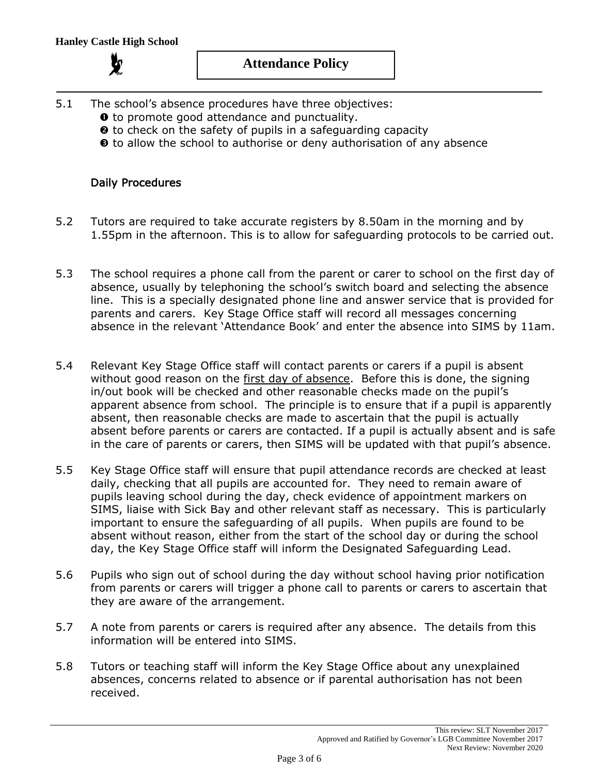- 5.1 The school's absence procedures have three objectives:
	- $\bullet$  to promote good attendance and punctuality.
	- $\Theta$  to check on the safety of pupils in a safeguarding capacity
	- $\Theta$  to allow the school to authorise or deny authorisation of any absence

## Daily Procedures

- 5.2 Tutors are required to take accurate registers by 8.50am in the morning and by 1.55pm in the afternoon. This is to allow for safeguarding protocols to be carried out.
- 5.3 The school requires a phone call from the parent or carer to school on the first day of absence, usually by telephoning the school's switch board and selecting the absence line. This is a specially designated phone line and answer service that is provided for parents and carers. Key Stage Office staff will record all messages concerning absence in the relevant 'Attendance Book' and enter the absence into SIMS by 11am.
- 5.4 Relevant Key Stage Office staff will contact parents or carers if a pupil is absent without good reason on the first day of absence. Before this is done, the signing in/out book will be checked and other reasonable checks made on the pupil's apparent absence from school. The principle is to ensure that if a pupil is apparently absent, then reasonable checks are made to ascertain that the pupil is actually absent before parents or carers are contacted. If a pupil is actually absent and is safe in the care of parents or carers, then SIMS will be updated with that pupil's absence.
- 5.5 Key Stage Office staff will ensure that pupil attendance records are checked at least daily, checking that all pupils are accounted for. They need to remain aware of pupils leaving school during the day, check evidence of appointment markers on SIMS, liaise with Sick Bay and other relevant staff as necessary. This is particularly important to ensure the safeguarding of all pupils. When pupils are found to be absent without reason, either from the start of the school day or during the school day, the Key Stage Office staff will inform the Designated Safeguarding Lead.
- 5.6 Pupils who sign out of school during the day without school having prior notification from parents or carers will trigger a phone call to parents or carers to ascertain that they are aware of the arrangement.
- 5.7 A note from parents or carers is required after any absence. The details from this information will be entered into SIMS.
- 5.8 Tutors or teaching staff will inform the Key Stage Office about any unexplained absences, concerns related to absence or if parental authorisation has not been received.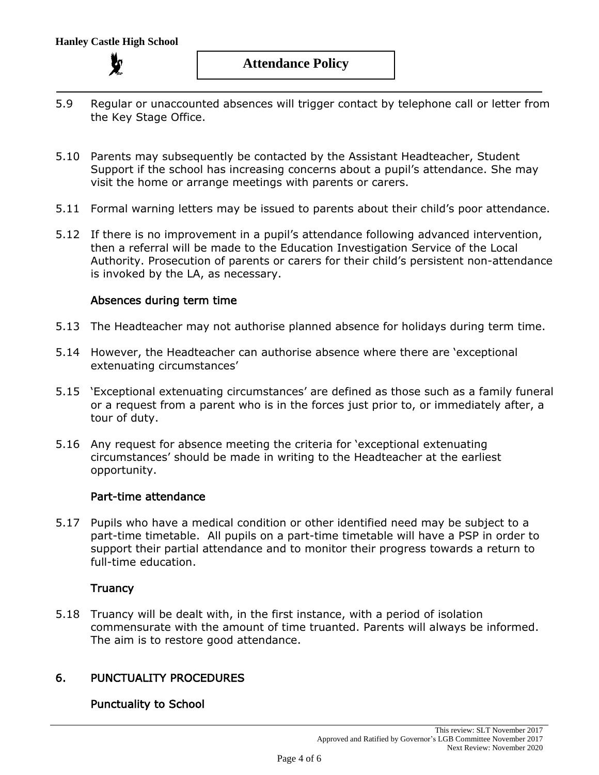

- 5.9 Regular or unaccounted absences will trigger contact by telephone call or letter from the Key Stage Office.
- 5.10 Parents may subsequently be contacted by the Assistant Headteacher, Student Support if the school has increasing concerns about a pupil's attendance. She may visit the home or arrange meetings with parents or carers.
- 5.11 Formal warning letters may be issued to parents about their child's poor attendance.
- 5.12 If there is no improvement in a pupil's attendance following advanced intervention, then a referral will be made to the Education Investigation Service of the Local Authority. Prosecution of parents or carers for their child's persistent non-attendance is invoked by the LA, as necessary.

#### Absences during term time

- 5.13 The Headteacher may not authorise planned absence for holidays during term time.
- 5.14 However, the Headteacher can authorise absence where there are 'exceptional extenuating circumstances'
- 5.15 'Exceptional extenuating circumstances' are defined as those such as a family funeral or a request from a parent who is in the forces just prior to, or immediately after, a tour of duty.
- 5.16 Any request for absence meeting the criteria for 'exceptional extenuating circumstances' should be made in writing to the Headteacher at the earliest opportunity.

## Part-time attendance

5.17 Pupils who have a medical condition or other identified need may be subject to a part-time timetable. All pupils on a part-time timetable will have a PSP in order to support their partial attendance and to monitor their progress towards a return to full-time education.

## **Truancy**

5.18 Truancy will be dealt with, in the first instance, with a period of isolation commensurate with the amount of time truanted. Parents will always be informed. The aim is to restore good attendance.

# 6. PUNCTUALITY PROCEDURES

## Punctuality to School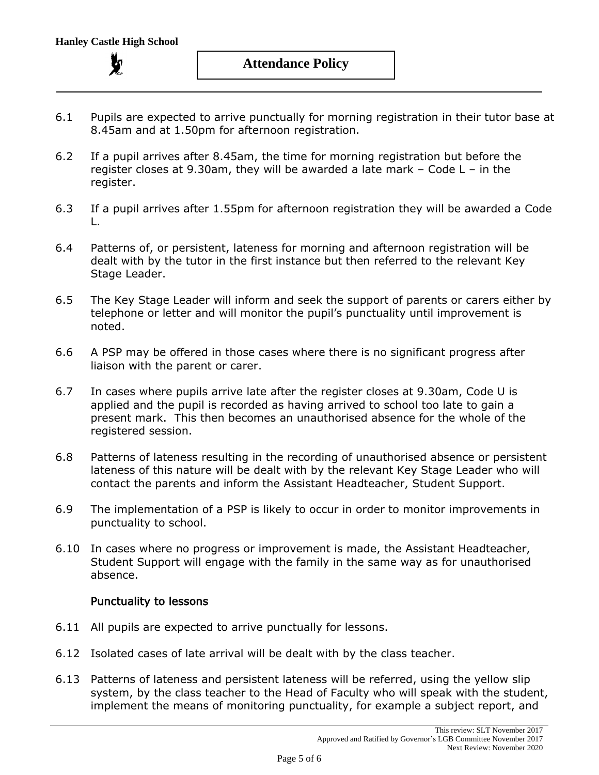- 6.1 Pupils are expected to arrive punctually for morning registration in their tutor base at 8.45am and at 1.50pm for afternoon registration.
- 6.2 If a pupil arrives after 8.45am, the time for morning registration but before the register closes at 9.30am, they will be awarded a late mark – Code L – in the register.
- 6.3 If a pupil arrives after 1.55pm for afternoon registration they will be awarded a Code L.
- 6.4 Patterns of, or persistent, lateness for morning and afternoon registration will be dealt with by the tutor in the first instance but then referred to the relevant Key Stage Leader.
- 6.5 The Key Stage Leader will inform and seek the support of parents or carers either by telephone or letter and will monitor the pupil's punctuality until improvement is noted.
- 6.6 A PSP may be offered in those cases where there is no significant progress after liaison with the parent or carer.
- 6.7 In cases where pupils arrive late after the register closes at 9.30am, Code U is applied and the pupil is recorded as having arrived to school too late to gain a present mark. This then becomes an unauthorised absence for the whole of the registered session.
- 6.8 Patterns of lateness resulting in the recording of unauthorised absence or persistent lateness of this nature will be dealt with by the relevant Key Stage Leader who will contact the parents and inform the Assistant Headteacher, Student Support.
- 6.9 The implementation of a PSP is likely to occur in order to monitor improvements in punctuality to school.
- 6.10 In cases where no progress or improvement is made, the Assistant Headteacher, Student Support will engage with the family in the same way as for unauthorised absence.

## Punctuality to lessons

- 6.11 All pupils are expected to arrive punctually for lessons.
- 6.12 Isolated cases of late arrival will be dealt with by the class teacher.
- 6.13 Patterns of lateness and persistent lateness will be referred, using the yellow slip system, by the class teacher to the Head of Faculty who will speak with the student, implement the means of monitoring punctuality, for example a subject report, and